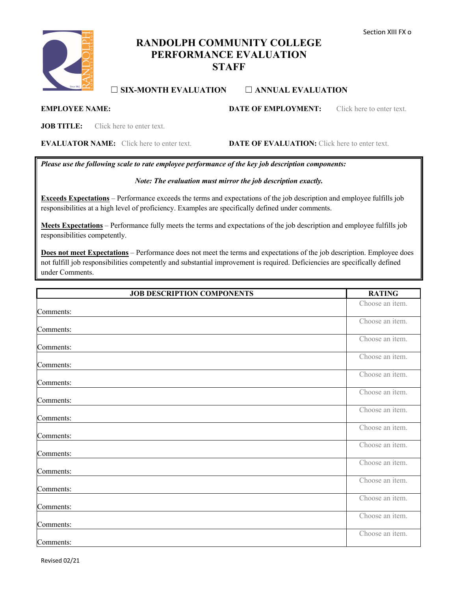

# **RANDOLPH COMMUNITY COLLEGE PERFORMANCE EVALUATION STAFF**

## ☐ **SIX-MONTH EVALUATION** ☐ **ANNUAL EVALUATION**

**EMPLOYEE NAME: DATE OF EMPLOYMENT:** Click here to enter text.

**JOB TITLE:** Click here to enter text.

**EVALUATOR NAME:** Click here to enter text. **DATE OF EVALUATION:** Click here to enter text.

*Please use the following scale to rate employee performance of the key job description components:*

## *Note: The evaluation must mirror the job description exactly.*

**Exceeds Expectations** – Performance exceeds the terms and expectations of the job description and employee fulfills job responsibilities at a high level of proficiency. Examples are specifically defined under comments.

**Meets Expectations** – Performance fully meets the terms and expectations of the job description and employee fulfills job responsibilities competently.

**Does not meet Expectations** – Performance does not meet the terms and expectations of the job description. Employee does not fulfill job responsibilities competently and substantial improvement is required. Deficiencies are specifically defined under Comments.

| <b>JOB DESCRIPTION COMPONENTS</b> | <b>RATING</b>   |
|-----------------------------------|-----------------|
| Comments:                         | Choose an item. |
| Comments:                         | Choose an item. |
| Comments:                         | Choose an item. |
| Comments:                         | Choose an item. |
| Comments:                         | Choose an item. |
| Comments:                         | Choose an item. |
| Comments:                         | Choose an item. |
| Comments:                         | Choose an item. |
| Comments:                         | Choose an item. |
| Comments:                         | Choose an item. |
| Comments:                         | Choose an item. |
| Comments:                         | Choose an item. |
| Comments:                         | Choose an item. |
| Comments:                         | Choose an item. |

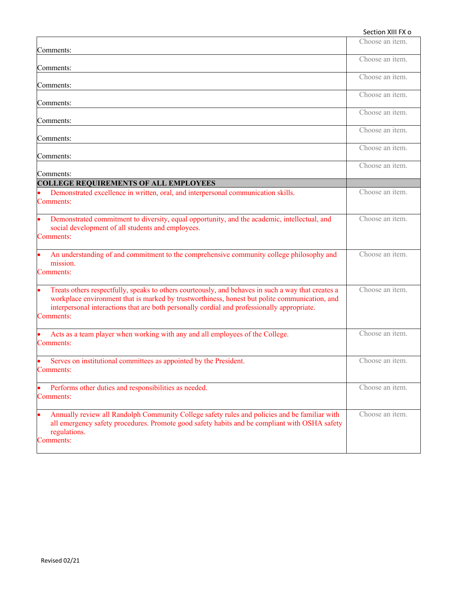| Section XIII FX o                                                                                                                                                                                                                                                                                               |                 |
|-----------------------------------------------------------------------------------------------------------------------------------------------------------------------------------------------------------------------------------------------------------------------------------------------------------------|-----------------|
| Comments:                                                                                                                                                                                                                                                                                                       | Choose an item. |
| Comments:                                                                                                                                                                                                                                                                                                       | Choose an item. |
| Comments:                                                                                                                                                                                                                                                                                                       | Choose an item. |
| Comments:                                                                                                                                                                                                                                                                                                       | Choose an item. |
| Comments:                                                                                                                                                                                                                                                                                                       | Choose an item. |
|                                                                                                                                                                                                                                                                                                                 | Choose an item. |
| Comments:                                                                                                                                                                                                                                                                                                       | Choose an item. |
| Comments:                                                                                                                                                                                                                                                                                                       | Choose an item. |
| Comments:                                                                                                                                                                                                                                                                                                       |                 |
| <b>COLLEGE REQUIREMENTS OF ALL EMPLOYEES</b><br>Demonstrated excellence in written, oral, and interpersonal communication skills.<br>Comments:                                                                                                                                                                  | Choose an item. |
| Demonstrated commitment to diversity, equal opportunity, and the academic, intellectual, and<br>social development of all students and employees.<br>Comments:                                                                                                                                                  | Choose an item. |
| An understanding of and commitment to the comprehensive community college philosophy and<br>mission.<br>Comments:                                                                                                                                                                                               | Choose an item. |
| Treats others respectfully, speaks to others courteously, and behaves in such a way that creates a<br>workplace environment that is marked by trustworthiness, honest but polite communication, and<br>interpersonal interactions that are both personally cordial and professionally appropriate.<br>Comments: | Choose an item. |
| Acts as a team player when working with any and all employees of the College.<br>Comments:                                                                                                                                                                                                                      | Choose an item. |
| Serves on institutional committees as appointed by the President.<br>Comments:                                                                                                                                                                                                                                  | Choose an item. |
| Performs other duties and responsibilities as needed.<br>Comments:                                                                                                                                                                                                                                              | Choose an item. |
| Annually review all Randolph Community College safety rules and policies and be familiar with<br>all emergency safety procedures. Promote good safety habits and be compliant with OSHA safety<br>regulations.<br>Comments:                                                                                     | Choose an item. |